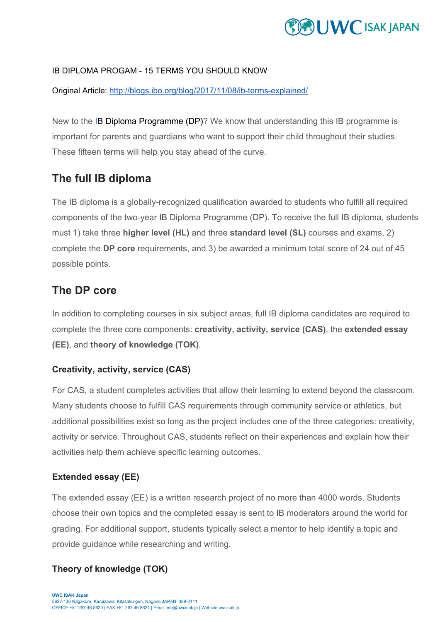# **WE ISAK JAPAN**

#### IB DIPLOMA PROGAM - 15 TERMS YOU SHOULD KNOW

Original Article: <http://blogs.ibo.org/blog/2017/11/08/ib-terms-explained/>

New to the [I](http://ibo.org/information-for-parents/dp-for-parents/)B Diploma Programme (DP)? We know that understanding this IB programme is important for parents and guardians who want to support their child throughout their studies. These fifteen terms will help you stay ahead of the curve.

# **The full IB diploma**

The IB diploma is a globally-recognized qualification awarded to students who fulfill all required components of the two-year IB Diploma Programme (DP). To receive the full IB diploma, students must 1) take three **higher level (HL)** and three **standard level (SL)** courses and exams, 2) complete the **DP core** requirements, and 3) be awarded a minimum total score of 24 out of 45 possible points.

### **The DP core**

In addition to completing courses in six subject areas, full IB diploma candidates are required to complete the three core components: **creativity, activity, service (CAS)**, the **extended essay (EE)**, and **theory of knowledge (TOK)**.

### **Creativity, activity, service (CAS)**

For CAS, a student completes activities that allow their learning to extend beyond the classroom. Many students choose to fulfill CAS requirements through community service or athletics, but additional possibilities exist so long as the project includes one of the three categories: creativity, activity or service. Throughout CAS, students reflect on their experiences and explain how their activities help them achieve specific learning outcomes.

### **Extended essay (EE)**

The extended essay (EE) is a written research project of no more than 4000 words. Students choose their own topics and the completed essay is sent to IB moderators around the world for grading. For additional support, students typically select a mentor to help identify a topic and provide guidance while researching and writing.

### **Theory of knowledge (TOK)**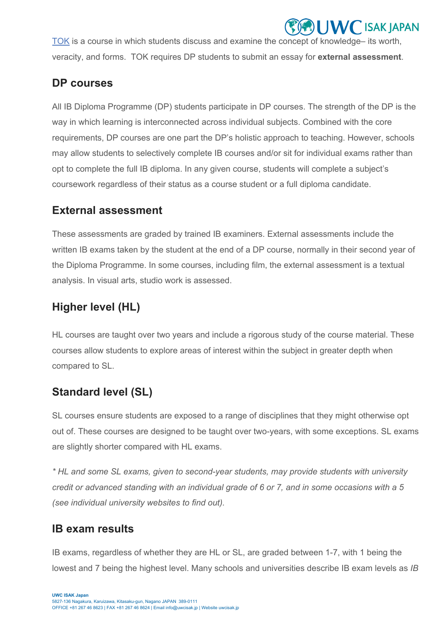[TOK](http://www.ibo.org/programmes/diploma-programme/curriculum/theory-of-knowledge/) is a course in which students discuss and examine the concept of knowledge– its worth, veracity, and forms. TOK requires DP students to submit an essay for **external assessment**.

**WC ISAK JAPAN** 

# **DP courses**

All IB Diploma Programme (DP) students participate in DP courses. The strength of the DP is the way in which learning is interconnected across individual subjects. Combined with the core requirements, DP courses are one part the DP's holistic approach to teaching. However, schools may allow students to selectively complete IB courses and/or sit for individual exams rather than opt to complete the full IB diploma. In any given course, students will complete a subject's coursework regardless of their status as a course student or a full diploma candidate.

# **External assessment**

These assessments are graded by trained IB examiners. External assessments include the written IB exams taken by the student at the end of a DP course, normally in their second year of the Diploma Programme. In some courses, including film, the external assessment is a textual analysis. In visual arts, studio work is assessed.

# **Higher level (HL)**

HL courses are taught over two years and include a rigorous study of the course material. These courses allow students to explore areas of interest within the subject in greater depth when compared to SL.

# **Standard level (SL)**

SL courses ensure students are exposed to a range of disciplines that they might otherwise opt out of. These courses are designed to be taught over two-years, with some exceptions. SL exams are slightly shorter compared with HL exams.

*\* HL and some SL exams, given to second-year students, may provide students with university* credit or advanced standing with an individual grade of 6 or 7, and in some occasions with a 5 *(see individual university websites to find out).*

# **IB exam results**

IB exams, regardless of whether they are HL or SL, are graded between 1-7, with 1 being the lowest and 7 being the highest level. Many schools and universities describe IB exam levels as *IB*